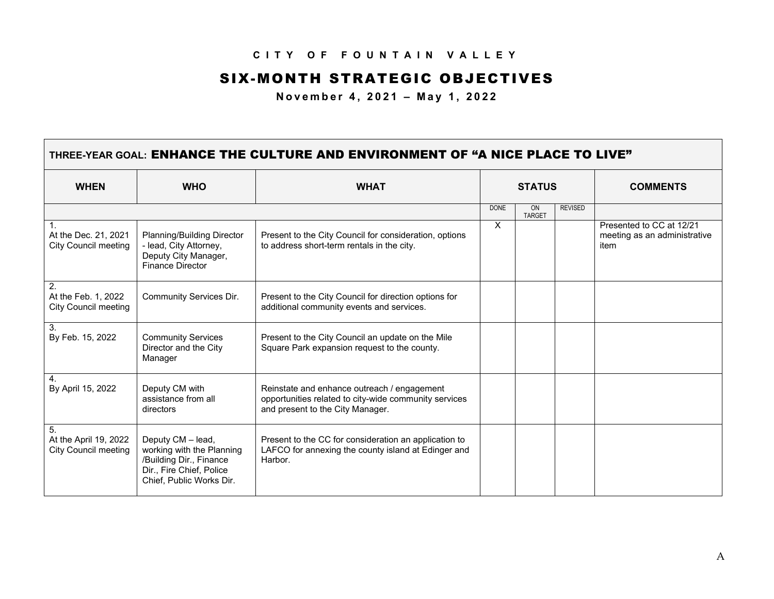## **CITY OF FOUNTAIN VALLEY**

## SIX-MONTH STRATEGIC OBJECTIVES

**November 4, 2021 – May 1, 2022**

Г

| THREE-YEAR GOAL: ENHANCE THE CULTURE AND ENVIRONMENT OF "A NICE PLACE TO LIVE" |                                                                                                                                   |                                                                                                                                          |               |                     |                |                                                                  |  |
|--------------------------------------------------------------------------------|-----------------------------------------------------------------------------------------------------------------------------------|------------------------------------------------------------------------------------------------------------------------------------------|---------------|---------------------|----------------|------------------------------------------------------------------|--|
| <b>WHEN</b>                                                                    | <b>WHO</b>                                                                                                                        | <b>WHAT</b>                                                                                                                              | <b>STATUS</b> |                     |                | <b>COMMENTS</b>                                                  |  |
|                                                                                |                                                                                                                                   |                                                                                                                                          | <b>DONE</b>   | ON<br><b>TARGET</b> | <b>REVISED</b> |                                                                  |  |
| At the Dec. 21, 2021<br><b>City Council meeting</b>                            | Planning/Building Director<br>- lead, City Attorney,<br>Deputy City Manager,<br><b>Finance Director</b>                           | Present to the City Council for consideration, options<br>to address short-term rentals in the city.                                     | $\times$      |                     |                | Presented to CC at 12/21<br>meeting as an administrative<br>item |  |
| 2.<br>At the Feb. 1, 2022<br><b>City Council meeting</b>                       | Community Services Dir.                                                                                                           | Present to the City Council for direction options for<br>additional community events and services.                                       |               |                     |                |                                                                  |  |
| 3.<br>By Feb. 15, 2022                                                         | <b>Community Services</b><br>Director and the City<br>Manager                                                                     | Present to the City Council an update on the Mile<br>Square Park expansion request to the county.                                        |               |                     |                |                                                                  |  |
| 4.<br>By April 15, 2022                                                        | Deputy CM with<br>assistance from all<br>directors                                                                                | Reinstate and enhance outreach / engagement<br>opportunities related to city-wide community services<br>and present to the City Manager. |               |                     |                |                                                                  |  |
| 5.<br>At the April 19, 2022<br><b>City Council meeting</b>                     | Deputy CM - lead,<br>working with the Planning<br>/Building Dir., Finance<br>Dir., Fire Chief, Police<br>Chief, Public Works Dir. | Present to the CC for consideration an application to<br>LAFCO for annexing the county island at Edinger and<br>Harbor.                  |               |                     |                |                                                                  |  |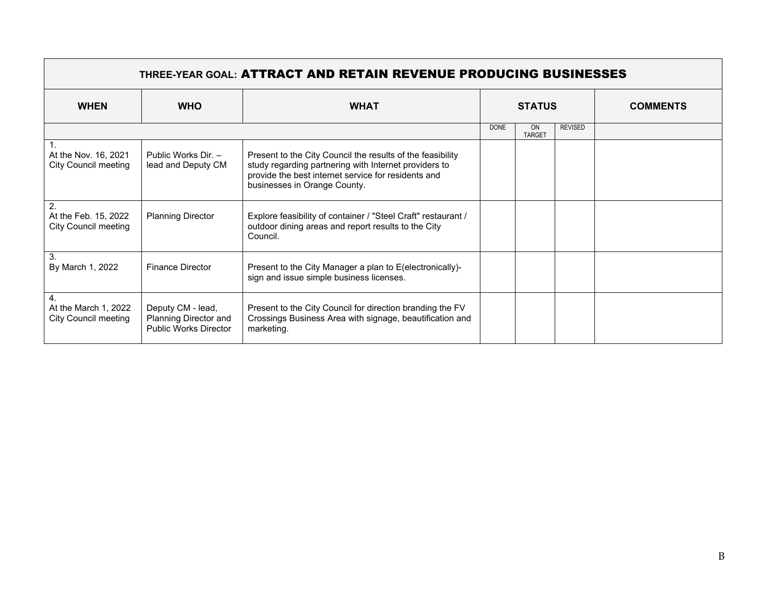| <b>THREE-YEAR GOAL: ATTRACT AND RETAIN REVENUE PRODUCING BUSINESSES</b> |                                                                            |                                                                                                                                                                                                            |               |                            |                |                 |  |
|-------------------------------------------------------------------------|----------------------------------------------------------------------------|------------------------------------------------------------------------------------------------------------------------------------------------------------------------------------------------------------|---------------|----------------------------|----------------|-----------------|--|
| <b>WHEN</b>                                                             | <b>WHO</b>                                                                 | <b>WHAT</b>                                                                                                                                                                                                | <b>STATUS</b> |                            |                | <b>COMMENTS</b> |  |
|                                                                         |                                                                            |                                                                                                                                                                                                            | <b>DONE</b>   | <b>ON</b><br><b>TARGET</b> | <b>REVISED</b> |                 |  |
| At the Nov. 16, 2021<br><b>City Council meeting</b>                     | Public Works Dir. -<br>lead and Deputy CM                                  | Present to the City Council the results of the feasibility<br>study regarding partnering with Internet providers to<br>provide the best internet service for residents and<br>businesses in Orange County. |               |                            |                |                 |  |
| 2.<br>At the Feb. 15, 2022<br><b>City Council meeting</b>               | <b>Planning Director</b>                                                   | Explore feasibility of container / "Steel Craft" restaurant /<br>outdoor dining areas and report results to the City<br>Council.                                                                           |               |                            |                |                 |  |
| 3.<br>By March 1, 2022                                                  | <b>Finance Director</b>                                                    | Present to the City Manager a plan to E(electronically)-<br>sign and issue simple business licenses.                                                                                                       |               |                            |                |                 |  |
| $\overline{4}$ .<br>At the March 1, 2022<br><b>City Council meeting</b> | Deputy CM - lead,<br>Planning Director and<br><b>Public Works Director</b> | Present to the City Council for direction branding the FV<br>Crossings Business Area with signage, beautification and<br>marketing.                                                                        |               |                            |                |                 |  |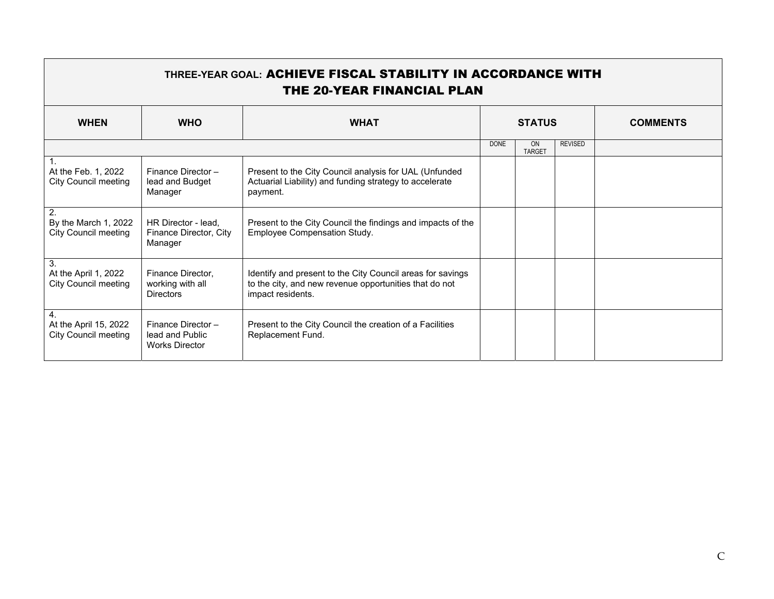| THREE-YEAR GOAL: ACHIEVE FISCAL STABILITY IN ACCORDANCE WITH<br><b>THE 20-YEAR FINANCIAL PLAN</b> |                                                               |                                                                                                                                           |               |                     |                |                 |  |
|---------------------------------------------------------------------------------------------------|---------------------------------------------------------------|-------------------------------------------------------------------------------------------------------------------------------------------|---------------|---------------------|----------------|-----------------|--|
| <b>WHEN</b>                                                                                       | <b>WHO</b>                                                    | <b>WHAT</b>                                                                                                                               | <b>STATUS</b> |                     |                | <b>COMMENTS</b> |  |
|                                                                                                   |                                                               |                                                                                                                                           | <b>DONE</b>   | ON<br><b>TARGET</b> | <b>REVISED</b> |                 |  |
| At the Feb. 1, 2022<br><b>City Council meeting</b>                                                | Finance Director-<br>lead and Budget<br>Manager               | Present to the City Council analysis for UAL (Unfunded<br>Actuarial Liability) and funding strategy to accelerate<br>payment.             |               |                     |                |                 |  |
| 2.<br>By the March 1, 2022<br><b>City Council meeting</b>                                         | HR Director - lead,<br>Finance Director, City<br>Manager      | Present to the City Council the findings and impacts of the<br>Employee Compensation Study.                                               |               |                     |                |                 |  |
| 3.<br>At the April 1, 2022<br><b>City Council meeting</b>                                         | Finance Director,<br>working with all<br><b>Directors</b>     | Identify and present to the City Council areas for savings<br>to the city, and new revenue opportunities that do not<br>impact residents. |               |                     |                |                 |  |
| $\mathbf{4}$ .<br>At the April 15, 2022<br><b>City Council meeting</b>                            | Finance Director-<br>lead and Public<br><b>Works Director</b> | Present to the City Council the creation of a Facilities<br>Replacement Fund.                                                             |               |                     |                |                 |  |